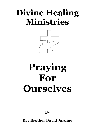## **Divine Healing Ministries**



# **Praying For Ourselves**

**By**

**Rev Brother David Jardine**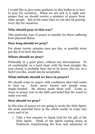I would like to give some guidance in this leaflet as to how to pray for ourselves. When we are sick it is right and proper that we should receive a ministry of prayer from other people. But at the same time we can also be praying every day for ourselves.

#### **Who should pray in this way?**

This particular type of prayer is suitable for those suffering from physical illness.

#### **How long should we pray?**

For about twenty minutes once per day, or possibly twice per day if we have the time.

#### **Where should we pray?**

Preferably in a quiet place, without any interruptions. To sit comfortably on a hard chair, with the back straight, the eyes closed, is probably best; but to lie down, flat out, on a bed if you like, would also be acceptable.

#### **What attitude should we have in prayer?**

We should come to prayer with confidence that God wants to heal us. Jesus never turned sick people away empty-handed. He always made them well. Come to Jesus in prayer now in the faith and belief that He wants to make you well.

#### **How should we pray?**

In this time of prayer we are going to invite the Holy Spirit, the most powerful force in the whole world, to come into every part of us.

1. Take a few minutes to thank God for his gift of the Holy Spirit. Think of the Spirit coming down at Pentecost, transforming the lives and ministries of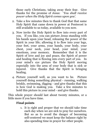those early Christians, taking away their fear. Give thanks for the promise of Jesus: '*You shall receive power when the Holy Spirit comes upon you'.*

- 2. Take a few minutes then to thank God that that same Holy Spirit that came down in power at Pentecost is still available to us today, available to you now.
- 3. Now invite the Holy Spirit to flow into every part of you. If you like, you can picture Jesus standing with his hands upon your head, releasing the power of the Spirit in your life; allowing it to flow into your legs, your feet, your arms, your hands, your body, your chest, your neck, your head, your mind, your emotions, your memory. Remember that it is the Spirit of love and joy and peace, the Spirit of power and healing that is flowing into every part of you. In your mind's eye picture the Holy Spirit moving especially into the area of your body that is sick or injured. Give thanks that the Spirit is bringing healing.
- 4. Picture yourself well, as you want to be. Picture yourself doing something physical - running, walking briskly, swimming, digging - and give thanks that this is how God is making you. Take a few minutes to hold this picture in your mind - and give thanks.

This whole prayer should last about twenty minutes, or a little more if you have time.

#### **Final points**

1. It is right and proper that we should take time each day when we are sick to pray for ourselves. But so as to avoid the danger of becoming self-centered we must keep the balance right by also spending time in prayer for other people.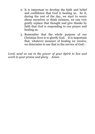- 2. It is important to develop the faith and belief and confidence that God is healing us. So if, during the rest of the day, we start to worry about ourselves or think sickness, we can very gently replace that thought and give thanks by faith that God is responding to our prayer and healing us.
- 3. Remember that the whole purpose of our Christian lives is to glorify God. It is important that, whatever measure of healing we receive, we determine to use that in the service of God:-

*Lord, send us out in the power of your Spirit to live and work to your praise and glory. Amen.*